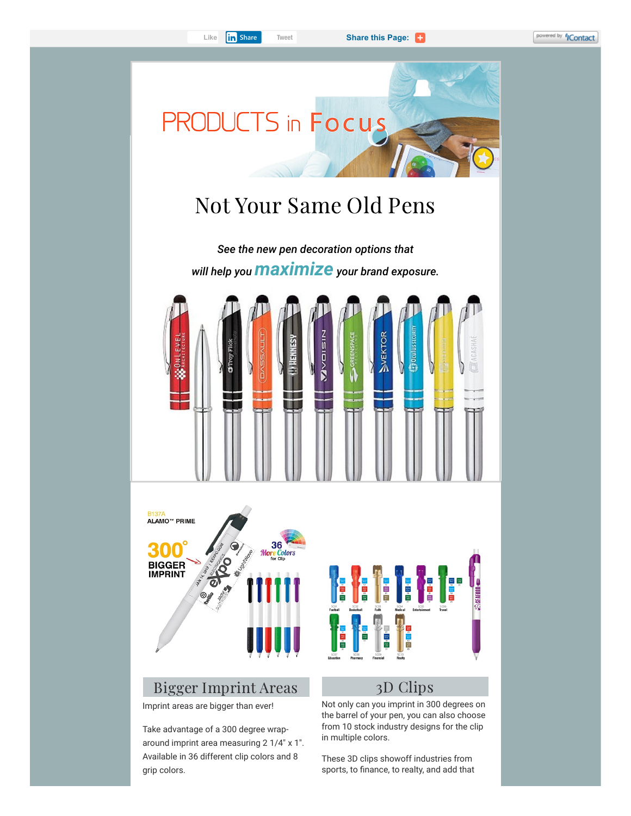

Imprint areas are bigger than ever!

Take advantage of a 300 degree wraparound imprint area measuring 2 1/4" x 1". Available in 36 different clip colors and 8 grip colors.

Not only can you imprint in 300 degrees on the barrel of your pen, you can also choose from 10 stock industry designs for the clip in multiple colors.

These 3D clips showoff industries from sports, to finance, to realty, and add that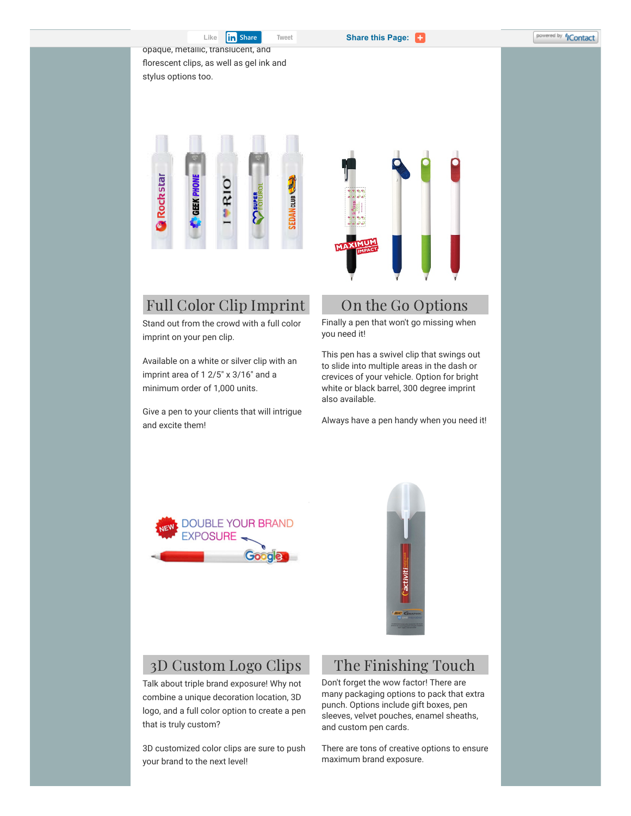**Share this Page:** 

opaque, metallic, translucent, and florescent clips, as well as gel ink and stylus options too.



# Full Color Clip Imprint

Stand out from the crowd with a full color imprint on your pen clip.

Available on a white or silver clip with an imprint area of 1 2/5" x 3/16" and a minimum order of 1,000 units.

Give a pen to your clients that will intrigue and excite them!



## On the Go Options

Finally a pen that won't go missing when you need it!

This pen has a swivel clip that swings out to slide into multiple areas in the dash or crevices of your vehicle. Option for bright white or black barrel, 300 degree imprint also available.

Always have a pen handy when you need it!





#### 3D Custom Logo Clips

Talk about triple brand exposure! Why not combine a unique decoration location, 3D logo, and a full color option to create a pen that is truly custom?

3D customized color clips are sure to push your brand to the next level!

### The Finishing Touch

Don't forget the wow factor! There are many packaging options to pack that extra punch. Options include gift boxes, pen sleeves, velvet pouches, enamel sheaths, and custom pen cards.

There are tons of creative options to ensure maximum brand exposure.